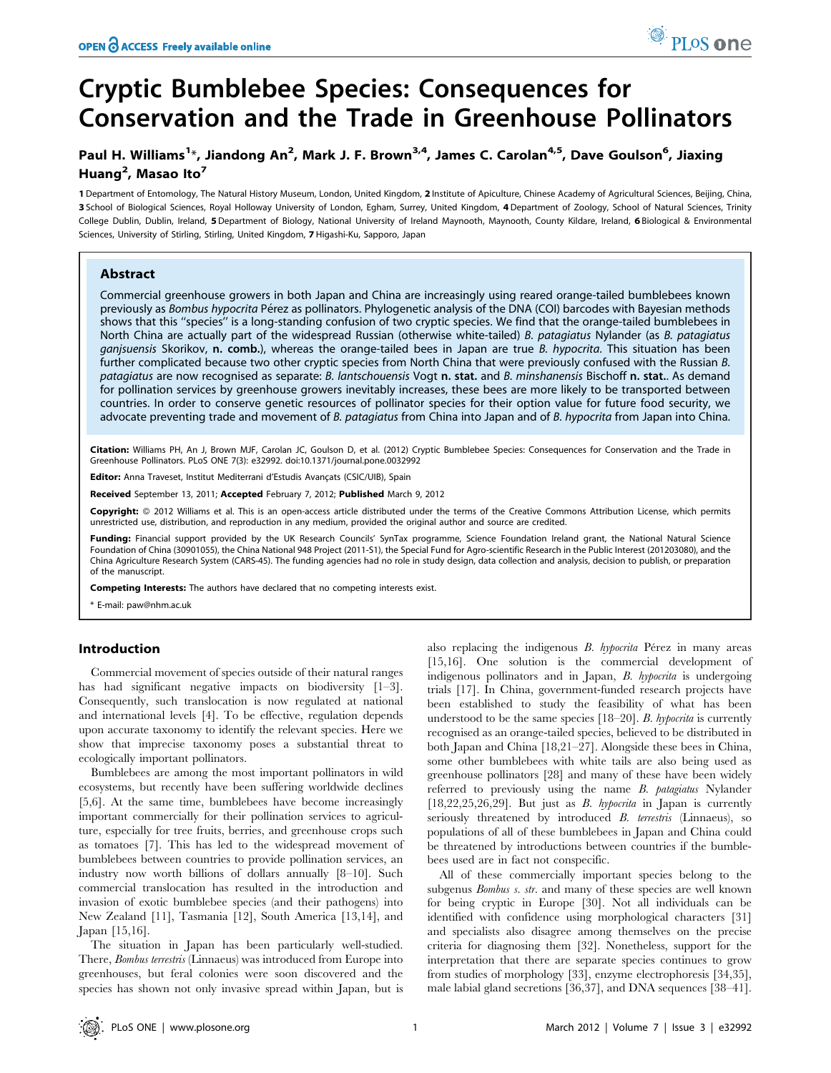# Cryptic Bumblebee Species: Consequences for Conservation and the Trade in Greenhouse Pollinators

# Paul H. Williams<sup>1</sup>\*, Jiandong An<sup>2</sup>, Mark J. F. Brown<sup>3,4</sup>, James C. Carolan<sup>4,5</sup>, Dave Goulson<sup>6</sup>, Jiaxing Huang<sup>2</sup>, Masao Ito<sup>7</sup>

1 Department of Entomology, The Natural History Museum, London, United Kingdom, 2 Institute of Apiculture, Chinese Academy of Agricultural Sciences, Beijing, China, 3 School of Biological Sciences, Royal Holloway University of London, Egham, Surrey, United Kingdom, 4 Department of Zoology, School of Natural Sciences, Trinity College Dublin, Dublin, Ireland, 5 Department of Biology, National University of Ireland Maynooth, Maynooth, County Kildare, Ireland, 6 Biological & Environmental Sciences, University of Stirling, Stirling, United Kingdom, 7 Higashi-Ku, Sapporo, Japan

# Abstract

Commercial greenhouse growers in both Japan and China are increasingly using reared orange-tailed bumblebees known previously as Bombus hypocrita Pérez as pollinators. Phylogenetic analysis of the DNA (COI) barcodes with Bayesian methods shows that this ''species'' is a long-standing confusion of two cryptic species. We find that the orange-tailed bumblebees in North China are actually part of the widespread Russian (otherwise white-tailed) B. patagiatus Nylander (as B. patagiatus ganjsuensis Skorikov, n. comb.), whereas the orange-tailed bees in Japan are true B. hypocrita. This situation has been further complicated because two other cryptic species from North China that were previously confused with the Russian B. patagiatus are now recognised as separate: B. lantschouensis Vogt n. stat. and B. minshanensis Bischoff n. stat.. As demand for pollination services by greenhouse growers inevitably increases, these bees are more likely to be transported between countries. In order to conserve genetic resources of pollinator species for their option value for future food security, we advocate preventing trade and movement of B. patagiatus from China into Japan and of B. hypocrita from Japan into China.

Citation: Williams PH, An J, Brown MJF, Carolan JC, Goulson D, et al. (2012) Cryptic Bumblebee Species: Consequences for Conservation and the Trade in Greenhouse Pollinators. PLoS ONE 7(3): e32992. doi:10.1371/journal.pone.0032992

Editor: Anna Traveset, Institut Mediterrani d'Estudis Avançats (CSIC/UIB), Spain

Received September 13, 2011; Accepted February 7, 2012; Published March 9, 2012

Copyright: © 2012 Williams et al. This is an open-access article distributed under the terms of the Creative Commons Attribution License, which permits unrestricted use, distribution, and reproduction in any medium, provided the original author and source are credited.

Funding: Financial support provided by the UK Research Councils' SynTax programme, Science Foundation Ireland grant, the National Natural Science Foundation of China (30901055), the China National 948 Project (2011-S1), the Special Fund for Agro-scientific Research in the Public Interest (201203080), and the China Agriculture Research System (CARS-45). The funding agencies had no role in study design, data collection and analysis, decision to publish, or preparation of the manuscript.

Competing Interests: The authors have declared that no competing interests exist.

\* E-mail: paw@nhm.ac.uk

# Introduction

Commercial movement of species outside of their natural ranges has had significant negative impacts on biodiversity [1–3]. Consequently, such translocation is now regulated at national and international levels [4]. To be effective, regulation depends upon accurate taxonomy to identify the relevant species. Here we show that imprecise taxonomy poses a substantial threat to ecologically important pollinators.

Bumblebees are among the most important pollinators in wild ecosystems, but recently have been suffering worldwide declines [5,6]. At the same time, bumblebees have become increasingly important commercially for their pollination services to agriculture, especially for tree fruits, berries, and greenhouse crops such as tomatoes [7]. This has led to the widespread movement of bumblebees between countries to provide pollination services, an industry now worth billions of dollars annually [8–10]. Such commercial translocation has resulted in the introduction and invasion of exotic bumblebee species (and their pathogens) into New Zealand [11], Tasmania [12], South America [13,14], and Japan [15,16].

The situation in Japan has been particularly well-studied. There, Bombus terrestris (Linnaeus) was introduced from Europe into greenhouses, but feral colonies were soon discovered and the species has shown not only invasive spread within Japan, but is also replacing the indigenous  $B$ . hypocrita Pérez in many areas [15,16]. One solution is the commercial development of indigenous pollinators and in Japan, B. hypocrita is undergoing trials [17]. In China, government-funded research projects have been established to study the feasibility of what has been understood to be the same species  $[18–20]$ . B. hypocrita is currently recognised as an orange-tailed species, believed to be distributed in both Japan and China [18,21–27]. Alongside these bees in China, some other bumblebees with white tails are also being used as greenhouse pollinators [28] and many of these have been widely referred to previously using the name B. patagiatus Nylander [18,22,25,26,29]. But just as  $B$ . hypocrita in Japan is currently seriously threatened by introduced  $B$ . terrestris (Linnaeus), so populations of all of these bumblebees in Japan and China could be threatened by introductions between countries if the bumblebees used are in fact not conspecific.

All of these commercially important species belong to the subgenus *Bombus s. str.* and many of these species are well known for being cryptic in Europe [30]. Not all individuals can be identified with confidence using morphological characters [31] and specialists also disagree among themselves on the precise criteria for diagnosing them [32]. Nonetheless, support for the interpretation that there are separate species continues to grow from studies of morphology [33], enzyme electrophoresis [34,35], male labial gland secretions [36,37], and DNA sequences [38–41].

PLoS one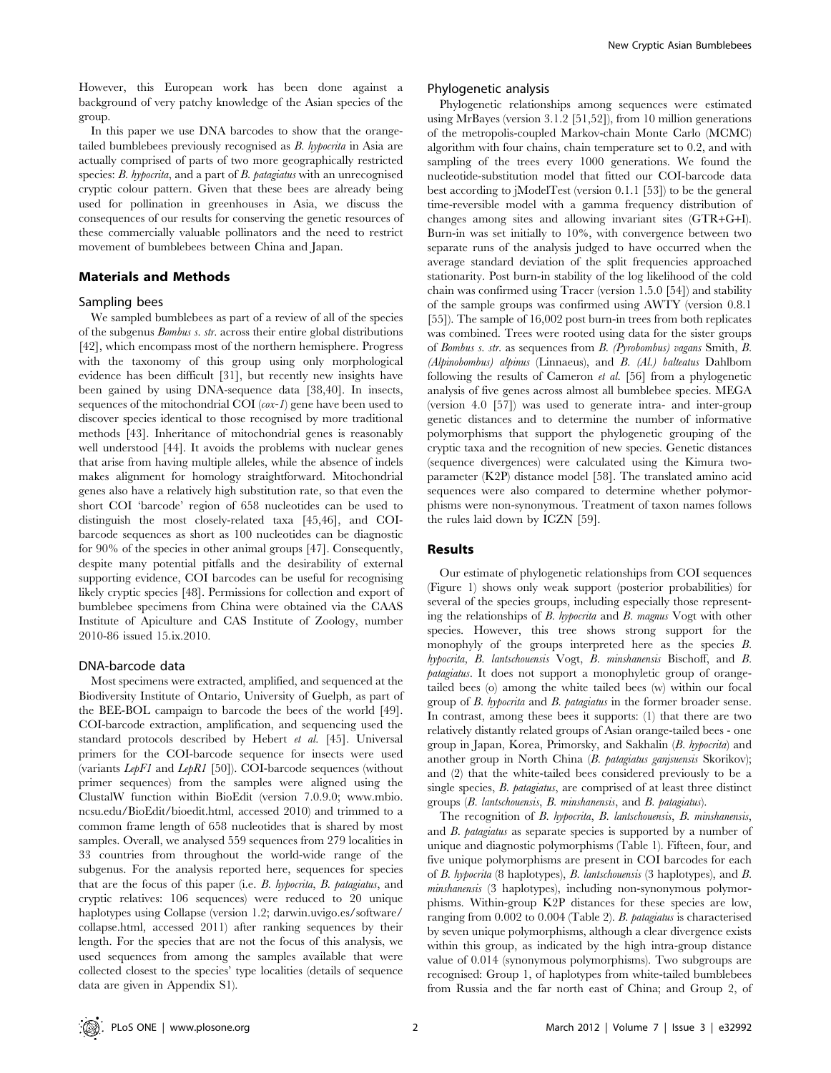However, this European work has been done against a background of very patchy knowledge of the Asian species of the group.

In this paper we use DNA barcodes to show that the orangetailed bumblebees previously recognised as B. hypocrita in Asia are actually comprised of parts of two more geographically restricted species: B. hypocrita, and a part of B. patagiatus with an unrecognised cryptic colour pattern. Given that these bees are already being used for pollination in greenhouses in Asia, we discuss the consequences of our results for conserving the genetic resources of these commercially valuable pollinators and the need to restrict movement of bumblebees between China and Japan.

#### Materials and Methods

#### Sampling bees

We sampled bumblebees as part of a review of all of the species of the subgenus Bombus s. str. across their entire global distributions [42], which encompass most of the northern hemisphere. Progress with the taxonomy of this group using only morphological evidence has been difficult [31], but recently new insights have been gained by using DNA-sequence data [38,40]. In insects, sequences of the mitochondrial COI  $(cox-1)$  gene have been used to discover species identical to those recognised by more traditional methods [43]. Inheritance of mitochondrial genes is reasonably well understood [44]. It avoids the problems with nuclear genes that arise from having multiple alleles, while the absence of indels makes alignment for homology straightforward. Mitochondrial genes also have a relatively high substitution rate, so that even the short COI 'barcode' region of 658 nucleotides can be used to distinguish the most closely-related taxa [45,46], and COIbarcode sequences as short as 100 nucleotides can be diagnostic for 90% of the species in other animal groups [47]. Consequently, despite many potential pitfalls and the desirability of external supporting evidence, COI barcodes can be useful for recognising likely cryptic species [48]. Permissions for collection and export of bumblebee specimens from China were obtained via the CAAS Institute of Apiculture and CAS Institute of Zoology, number 2010-86 issued 15.ix.2010.

#### DNA-barcode data

Most specimens were extracted, amplified, and sequenced at the Biodiversity Institute of Ontario, University of Guelph, as part of the BEE-BOL campaign to barcode the bees of the world [49]. COI-barcode extraction, amplification, and sequencing used the standard protocols described by Hebert et al. [45]. Universal primers for the COI-barcode sequence for insects were used (variants  $LepFI$  and  $LepRI$  [50]). COI-barcode sequences (without primer sequences) from the samples were aligned using the ClustalW function within BioEdit (version 7.0.9.0; www.mbio. ncsu.edu/BioEdit/bioedit.html, accessed 2010) and trimmed to a common frame length of 658 nucleotides that is shared by most samples. Overall, we analysed 559 sequences from 279 localities in 33 countries from throughout the world-wide range of the subgenus. For the analysis reported here, sequences for species that are the focus of this paper (i.e. B. hypocrita, B. patagiatus, and cryptic relatives: 106 sequences) were reduced to 20 unique haplotypes using Collapse (version 1.2; darwin.uvigo.es/software/ collapse.html, accessed 2011) after ranking sequences by their length. For the species that are not the focus of this analysis, we used sequences from among the samples available that were collected closest to the species' type localities (details of sequence data are given in Appendix S1).

#### Phylogenetic analysis

Phylogenetic relationships among sequences were estimated using MrBayes (version 3.1.2 [51,52]), from 10 million generations of the metropolis-coupled Markov-chain Monte Carlo (MCMC) algorithm with four chains, chain temperature set to 0.2, and with sampling of the trees every 1000 generations. We found the nucleotide-substitution model that fitted our COI-barcode data best according to jModelTest (version 0.1.1 [53]) to be the general time-reversible model with a gamma frequency distribution of changes among sites and allowing invariant sites (GTR+G+I). Burn-in was set initially to 10%, with convergence between two separate runs of the analysis judged to have occurred when the average standard deviation of the split frequencies approached stationarity. Post burn-in stability of the log likelihood of the cold chain was confirmed using Tracer (version 1.5.0 [54]) and stability of the sample groups was confirmed using AWTY (version 0.8.1 [55]). The sample of 16,002 post burn-in trees from both replicates was combined. Trees were rooted using data for the sister groups of Bombus s. str. as sequences from B. (Pyrobombus) vagans Smith, B. (Alpinobombus) alpinus (Linnaeus), and B. (Al.) balteatus Dahlbom following the results of Cameron et al. [56] from a phylogenetic analysis of five genes across almost all bumblebee species. MEGA (version 4.0 [57]) was used to generate intra- and inter-group genetic distances and to determine the number of informative polymorphisms that support the phylogenetic grouping of the cryptic taxa and the recognition of new species. Genetic distances (sequence divergences) were calculated using the Kimura twoparameter (K2P) distance model [58]. The translated amino acid sequences were also compared to determine whether polymorphisms were non-synonymous. Treatment of taxon names follows the rules laid down by ICZN [59].

#### Results

Our estimate of phylogenetic relationships from COI sequences (Figure 1) shows only weak support (posterior probabilities) for several of the species groups, including especially those representing the relationships of B. hypocrita and B. magnus Vogt with other species. However, this tree shows strong support for the monophyly of the groups interpreted here as the species B. hypocrita, B. lantschouensis Vogt, B. minshanensis Bischoff, and B. patagiatus. It does not support a monophyletic group of orangetailed bees (o) among the white tailed bees (w) within our focal group of B. hypocrita and B. patagiatus in the former broader sense. In contrast, among these bees it supports: (1) that there are two relatively distantly related groups of Asian orange-tailed bees - one group in Japan, Korea, Primorsky, and Sakhalin (B. hypocrita) and another group in North China (B. patagiatus ganjsuensis Skorikov); and (2) that the white-tailed bees considered previously to be a single species, B. patagiatus, are comprised of at least three distinct groups (B. lantschouensis, B. minshanensis, and B. patagiatus).

The recognition of B. hypocrita, B. lantschouensis, B. minshanensis, and B. patagiatus as separate species is supported by a number of unique and diagnostic polymorphisms (Table 1). Fifteen, four, and five unique polymorphisms are present in COI barcodes for each of B. hypocrita (8 haplotypes), B. lantschouensis (3 haplotypes), and B. minshanensis (3 haplotypes), including non-synonymous polymorphisms. Within-group K2P distances for these species are low, ranging from 0.002 to 0.004 (Table 2). B. patagiatus is characterised by seven unique polymorphisms, although a clear divergence exists within this group, as indicated by the high intra-group distance value of 0.014 (synonymous polymorphisms). Two subgroups are recognised: Group 1, of haplotypes from white-tailed bumblebees from Russia and the far north east of China; and Group 2, of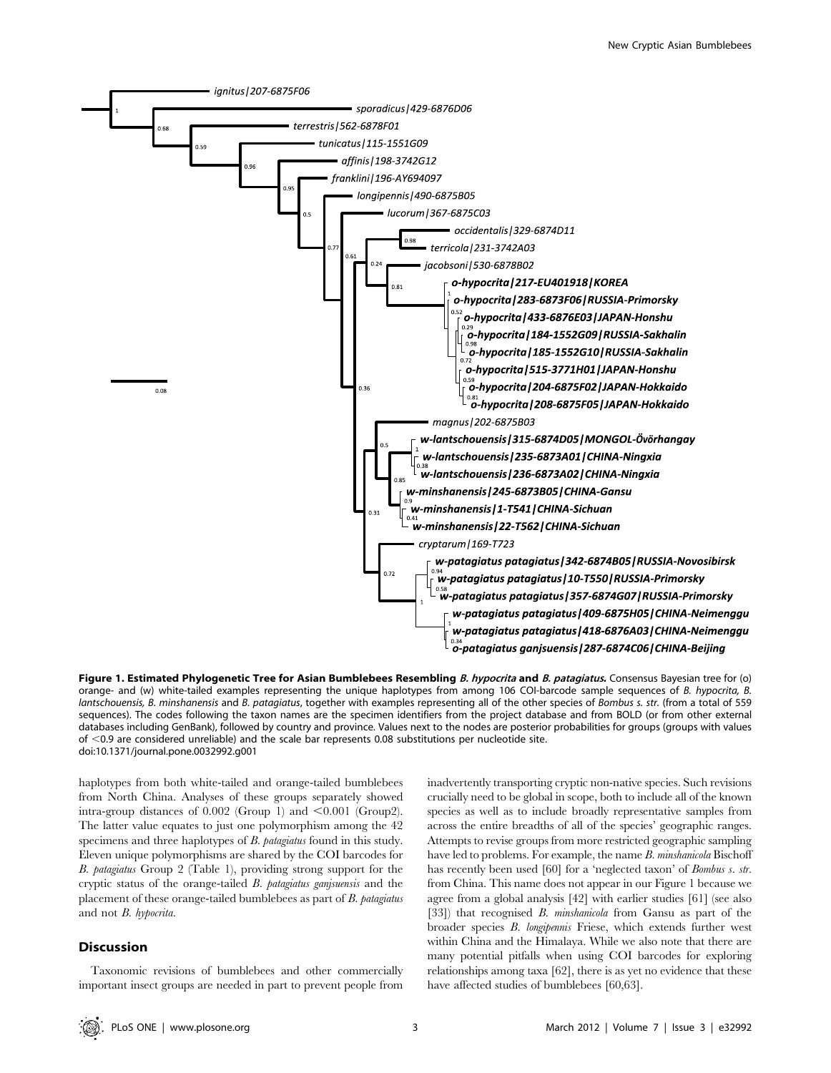

Figure 1. Estimated Phylogenetic Tree for Asian Bumblebees Resembling B. hypocrita and B. patagiatus. Consensus Bayesian tree for (o) orange- and (w) white-tailed examples representing the unique haplotypes from among 106 COI-barcode sample sequences of B. hypocrita, B. lantschouensis, B. minshanensis and B. patagiatus, together with examples representing all of the other species of Bombus s. str. (from a total of 559 sequences). The codes following the taxon names are the specimen identifiers from the project database and from BOLD (or from other external databases including GenBank), followed by country and province. Values next to the nodes are posterior probabilities for groups (groups with values of ,0.9 are considered unreliable) and the scale bar represents 0.08 substitutions per nucleotide site. doi:10.1371/journal.pone.0032992.g001

haplotypes from both white-tailed and orange-tailed bumblebees from North China. Analyses of these groups separately showed intra-group distances of  $0.002$  (Group 1) and  $\leq 0.001$  (Group2). The latter value equates to just one polymorphism among the 42 specimens and three haplotypes of B. *patagiatus* found in this study. Eleven unique polymorphisms are shared by the COI barcodes for B. patagiatus Group 2 (Table 1), providing strong support for the cryptic status of the orange-tailed B. patagiatus ganjsuensis and the placement of these orange-tailed bumblebees as part of B. patagiatus and not B. hypocrita.

# Discussion

Taxonomic revisions of bumblebees and other commercially important insect groups are needed in part to prevent people from inadvertently transporting cryptic non-native species. Such revisions crucially need to be global in scope, both to include all of the known species as well as to include broadly representative samples from across the entire breadths of all of the species' geographic ranges. Attempts to revise groups from more restricted geographic sampling have led to problems. For example, the name B. minshanicola Bischoff has recently been used [60] for a 'neglected taxon' of *Bombus s. str.* from China. This name does not appear in our Figure 1 because we agree from a global analysis [42] with earlier studies [61] (see also [33]) that recognised B. minshanicola from Gansu as part of the broader species B. longipennis Friese, which extends further west within China and the Himalaya. While we also note that there are many potential pitfalls when using COI barcodes for exploring relationships among taxa [62], there is as yet no evidence that these have affected studies of bumblebees [60,63].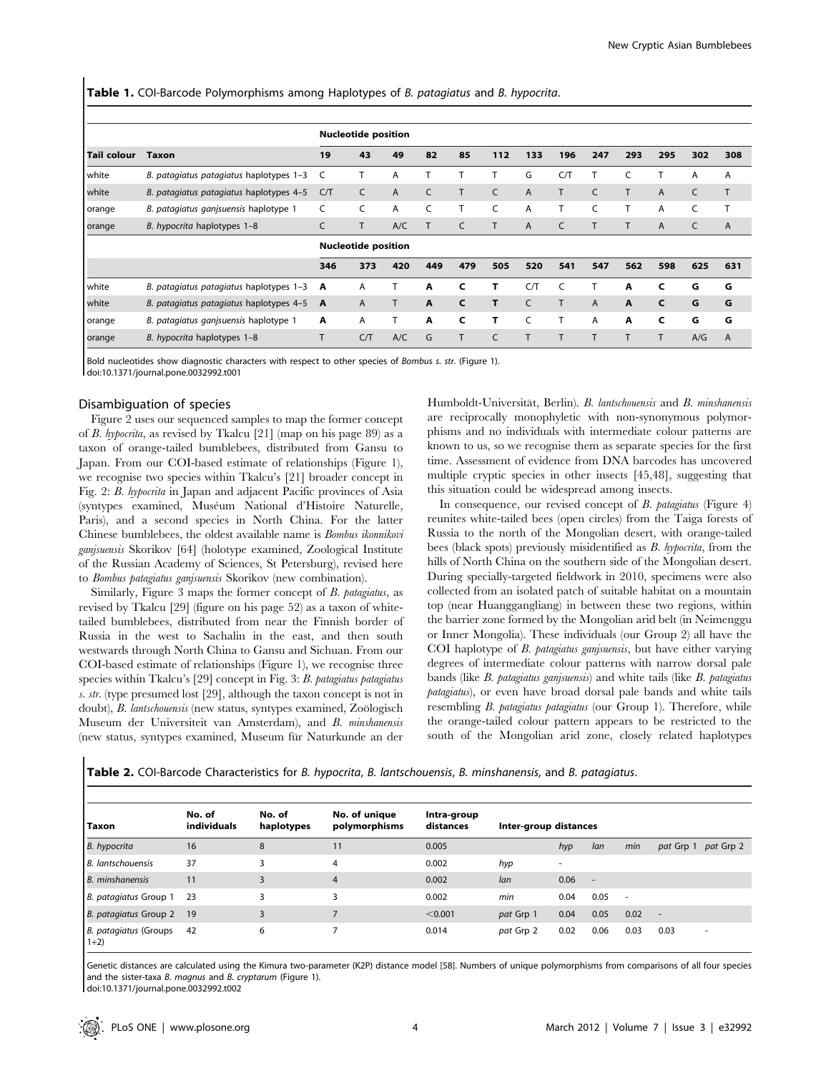|                    |                                         | <b>Nucleotide position</b> |              |     |              |     |     |              |     |                |     |     |     |     |
|--------------------|-----------------------------------------|----------------------------|--------------|-----|--------------|-----|-----|--------------|-----|----------------|-----|-----|-----|-----|
| <b>Tail colour</b> | <b>Taxon</b>                            | 19                         | 43           | 49  | 82           | 85  | 112 | 133          | 196 | 247            | 293 | 295 | 302 | 308 |
| white              | B. patagiatus patagiatus haplotypes 1-3 |                            |              | A   |              |     |     | G            | C/T |                |     |     | A   | Α   |
| white              | B. patagiatus patagiatus haplotypes 4-5 | C/T                        | C            | A   | C            | T   | C   | A            | T   | C              |     | A   | C   |     |
| orange             | B. patagiatus ganjsuensis haplotype 1   | C                          | C            | A   | C            | T   | C   | A            | т   |                |     | A   | C   |     |
| orange             | B. hypocrita haplotypes 1-8             | C                          | T            | A/C |              | C   |     | A            | C   |                |     | A   | C   | A   |
|                    |                                         | <b>Nucleotide position</b> |              |     |              |     |     |              |     |                |     |     |     |     |
|                    |                                         | 346                        | 373          | 420 | 449          | 479 | 505 | 520          | 541 | 547            | 562 | 598 | 625 | 631 |
| white              | B. patagiatus patagiatus haplotypes 1-3 | A                          | A            |     | A            | C   | т   | C/T          |     |                | A   | c   | G   | G   |
| white              | B. patagiatus patagiatus haplotypes 4-5 | $\mathbf{A}$               | $\mathsf{A}$ | T   | $\mathbf{A}$ | C   | т   | $\mathsf{C}$ | T   | $\overline{A}$ | A   | C   | G   | G   |
| orange             | B. patagiatus ganjsuensis haplotype 1   | A                          | A            |     | A            | C   | т   | C            | T   | A              | A   | C   | G   | G   |
| orange             | B. hypocrita haplotypes 1-8             |                            | C/T          | A/C | G            | T   |     |              |     |                |     | T   | A/G | A   |

**Table 1.** COI-Barcode Polymorphisms among Haplotypes of B. patagiatus and B. hypocrita.

Bold nucleotides show diagnostic characters with respect to other species of Bombus s. str. (Figure 1). doi:10.1371/journal.pone.0032992.t001

# Disambiguation of species

Figure 2 uses our sequenced samples to map the former concept of B. hypocrita, as revised by Tkalcu [21] (map on his page 89) as a taxon of orange-tailed bumblebees, distributed from Gansu to Japan. From our COI-based estimate of relationships (Figure 1), we recognise two species within Tkalcu's [21] broader concept in Fig. 2: B. hypocrita in Japan and adjacent Pacific provinces of Asia (syntypes examined, Muséum National d'Histoire Naturelle, Paris), and a second species in North China. For the latter Chinese bumblebees, the oldest available name is Bombus ikonnikovi ganjsuensis Skorikov [64] (holotype examined, Zoological Institute of the Russian Academy of Sciences, St Petersburg), revised here to Bombus patagiatus ganjsuensis Skorikov (new combination).

Similarly, Figure 3 maps the former concept of B. patagiatus, as revised by Tkalcu [29] (figure on his page 52) as a taxon of whitetailed bumblebees, distributed from near the Finnish border of Russia in the west to Sachalin in the east, and then south westwards through North China to Gansu and Sichuan. From our COI-based estimate of relationships (Figure 1), we recognise three species within Tkalcu's [29] concept in Fig. 3: B. patagiatus patagiatus s. str. (type presumed lost [29], although the taxon concept is not in doubt), B. lantschouensis (new status, syntypes examined, Zoölogisch Museum der Universiteit van Amsterdam), and B. minshanensis (new status, syntypes examined, Museum für Naturkunde an der

Humboldt-Universität, Berlin). B. lantschouensis and B. minshanensis are reciprocally monophyletic with non-synonymous polymorphisms and no individuals with intermediate colour patterns are known to us, so we recognise them as separate species for the first time. Assessment of evidence from DNA barcodes has uncovered multiple cryptic species in other insects [45,48], suggesting that this situation could be widespread among insects.

In consequence, our revised concept of  $B$ . patagiatus (Figure 4) reunites white-tailed bees (open circles) from the Taiga forests of Russia to the north of the Mongolian desert, with orange-tailed bees (black spots) previously misidentified as B. hypocrita, from the hills of North China on the southern side of the Mongolian desert. During specially-targeted fieldwork in 2010, specimens were also collected from an isolated patch of suitable habitat on a mountain top (near Huanggangliang) in between these two regions, within the barrier zone formed by the Mongolian arid belt (in Neimenggu or Inner Mongolia). These individuals (our Group 2) all have the COI haplotype of *B. patagiatus ganjsuensis*, but have either varying degrees of intermediate colour patterns with narrow dorsal pale bands (like B. patagiatus ganjsuensis) and white tails (like B. patagiatus patagiatus), or even have broad dorsal pale bands and white tails resembling *B. patagiatus patagiatus* (our Group 1). Therefore, while the orange-tailed colour pattern appears to be restricted to the south of the Mongolian arid zone, closely related haplotypes

Table 2. COI-Barcode Characteristics for B. hypocrita, B. lantschouensis, B. minshanensis, and B. patagiatus.

| Taxon<br><b>B.</b> hypocrita    | No. of<br>individuals<br>16 | No. of<br>haplotypes<br>8 | No. of unique<br>polymorphisms | Intra-group<br>distances | Inter-group distances |      |      |        |                          |                |  |
|---------------------------------|-----------------------------|---------------------------|--------------------------------|--------------------------|-----------------------|------|------|--------|--------------------------|----------------|--|
|                                 |                             |                           | 11                             | 0.005                    |                       | hyp  | lan  | min    | pat Grp 1                | pat Grp 2      |  |
| B. lantschouensis               | 37                          | 3                         | 4                              | 0.002                    | hyp                   |      |      |        |                          |                |  |
| <b>B.</b> minshanensis          | 11                          |                           | $\overline{4}$                 | 0.002                    | lan                   | 0.06 |      |        |                          |                |  |
| B. patagiatus Group 1 23        |                             | 3                         | 3                              | 0.002                    | min                   | 0.04 | 0.05 | $\sim$ |                          |                |  |
| B. patagiatus Group 2 19        |                             |                           |                                | < 0.001                  | pat Grp 1             | 0.04 | 0.05 | 0.02   | $\overline{\phantom{a}}$ |                |  |
| B. patagiatus (Groups<br>$1+2)$ | -42                         | 6                         |                                | 0.014                    | pat Grp 2             | 0.02 | 0.06 | 0.03   | 0.03                     | $\blacksquare$ |  |

Genetic distances are calculated using the Kimura two-parameter (K2P) distance model [58]. Numbers of unique polymorphisms from comparisons of all four species and the sister-taxa B. magnus and B. cryptarum (Figure 1).

doi:10.1371/journal.pone.0032992.t002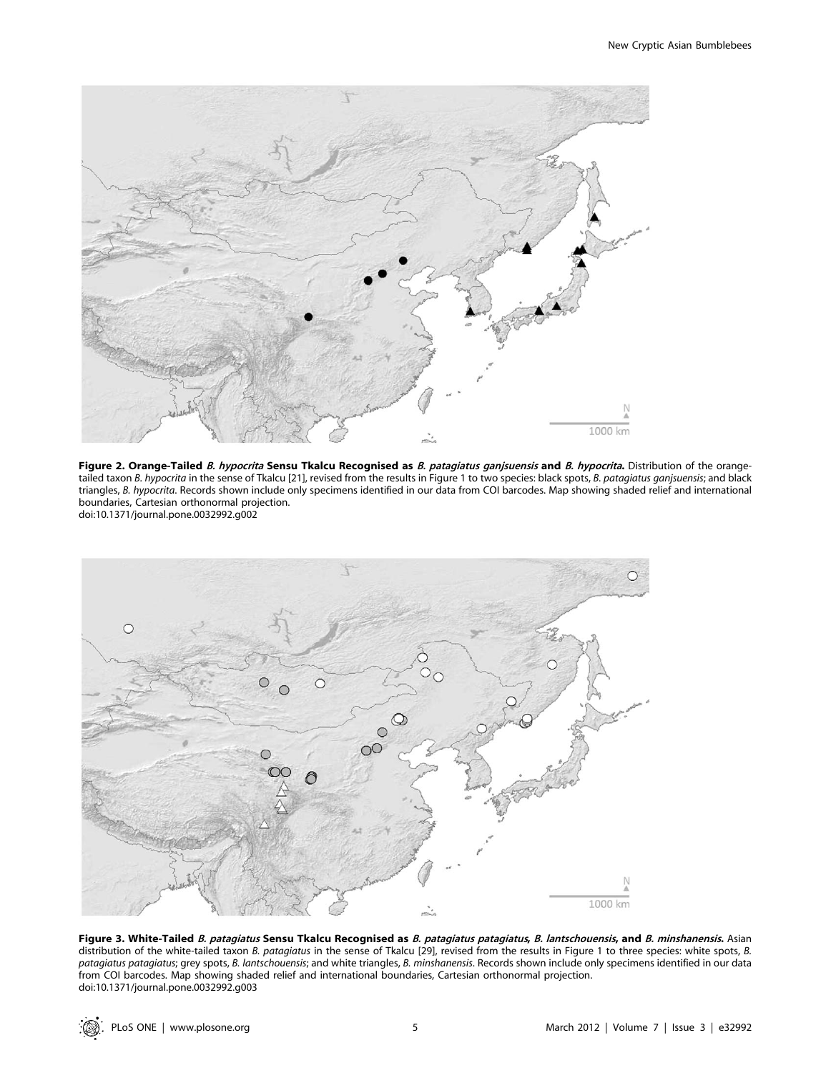

Figure 2. Orange-Tailed B. hypocrita Sensu Tkalcu Recognised as B. patagiatus ganjsuensis and B. hypocrita. Distribution of the orangetailed taxon B. hypocrita in the sense of Tkalcu [21], revised from the results in Figure 1 to two species: black spots, B. patagiatus ganjsuensis; and black triangles, B. hypocrita. Records shown include only specimens identified in our data from COI barcodes. Map showing shaded relief and international boundaries, Cartesian orthonormal projection. doi:10.1371/journal.pone.0032992.g002



Figure 3. White-Tailed B. patagiatus Sensu Tkalcu Recognised as B. patagiatus patagiatus, B. lantschouensis, and B. minshanensis. Asian distribution of the white-tailed taxon B. patagiatus in the sense of Tkalcu [29], revised from the results in Figure 1 to three species: white spots, B. patagiatus patagiatus; grey spots, B. lantschouensis; and white triangles, B. minshanensis. Records shown include only specimens identified in our data from COI barcodes. Map showing shaded relief and international boundaries, Cartesian orthonormal projection. doi:10.1371/journal.pone.0032992.g003

 $\circledR$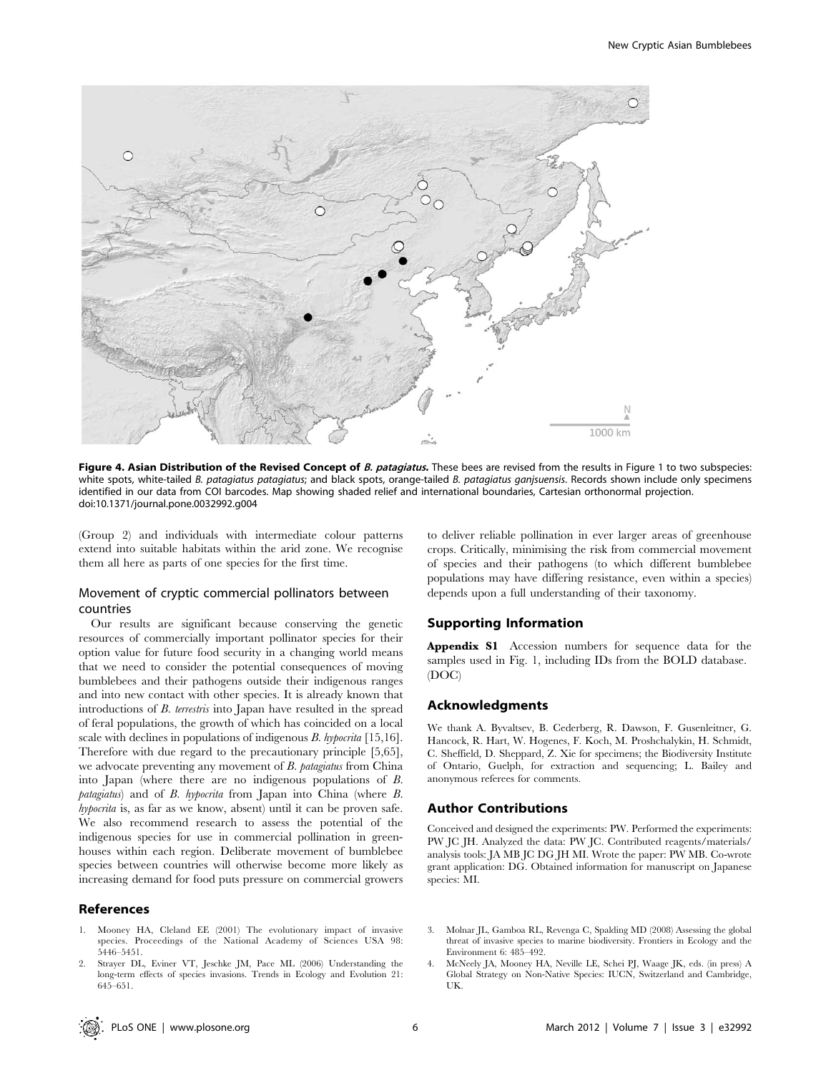

Figure 4. Asian Distribution of the Revised Concept of B. patagiatus. These bees are revised from the results in Figure 1 to two subspecies: white spots, white-tailed B. patagiatus patagiatus; and black spots, orange-tailed B. patagiatus ganjsuensis. Records shown include only specimens identified in our data from COI barcodes. Map showing shaded relief and international boundaries, Cartesian orthonormal projection. doi:10.1371/journal.pone.0032992.g004

(Group 2) and individuals with intermediate colour patterns extend into suitable habitats within the arid zone. We recognise them all here as parts of one species for the first time.

# Movement of cryptic commercial pollinators between countries

Our results are significant because conserving the genetic resources of commercially important pollinator species for their option value for future food security in a changing world means that we need to consider the potential consequences of moving bumblebees and their pathogens outside their indigenous ranges and into new contact with other species. It is already known that introductions of B. terrestris into Japan have resulted in the spread of feral populations, the growth of which has coincided on a local scale with declines in populations of indigenous *B. hypocrita* [15,16]. Therefore with due regard to the precautionary principle [5,65], we advocate preventing any movement of B. patagiatus from China into Japan (where there are no indigenous populations of B. patagiatus) and of B. hypocrita from Japan into China (where B. hypocrita is, as far as we know, absent) until it can be proven safe. We also recommend research to assess the potential of the indigenous species for use in commercial pollination in greenhouses within each region. Deliberate movement of bumblebee species between countries will otherwise become more likely as increasing demand for food puts pressure on commercial growers

#### References

- 1. Mooney HA, Cleland EE (2001) The evolutionary impact of invasive species. Proceedings of the National Academy of Sciences USA 98: 5446–5451.
- 2. Strayer DL, Eviner VT, Jeschke JM, Pace ML (2006) Understanding the long-term effects of species invasions. Trends in Ecology and Evolution 21: 645–651.

to deliver reliable pollination in ever larger areas of greenhouse crops. Critically, minimising the risk from commercial movement of species and their pathogens (to which different bumblebee populations may have differing resistance, even within a species) depends upon a full understanding of their taxonomy.

# Supporting Information

Appendix S1 Accession numbers for sequence data for the samples used in Fig. 1, including IDs from the BOLD database. (DOC)

# Acknowledgments

We thank A. Byvaltsev, B. Cederberg, R. Dawson, F. Gusenleitner, G. Hancock, R. Hart, W. Hogenes, F. Koch, M. Proshchalykin, H. Schmidt, C. Sheffield, D. Sheppard, Z. Xie for specimens; the Biodiversity Institute of Ontario, Guelph, for extraction and sequencing; L. Bailey and anonymous referees for comments.

#### Author Contributions

Conceived and designed the experiments: PW. Performed the experiments: PW JC JH. Analyzed the data: PW JC. Contributed reagents/materials/ analysis tools: JA MB JC DG JH MI. Wrote the paper: PW MB. Co-wrote grant application: DG. Obtained information for manuscript on Japanese species: MI.

- 3. Molnar JL, Gamboa RL, Revenga C, Spalding MD (2008) Assessing the global threat of invasive species to marine biodiversity. Frontiers in Ecology and the Environment 6: 485–492.
- 4. McNeely JA, Mooney HA, Neville LE, Schei PJ, Waage JK, eds. (in press) A Global Strategy on Non-Native Species: IUCN, Switzerland and Cambridge, UK.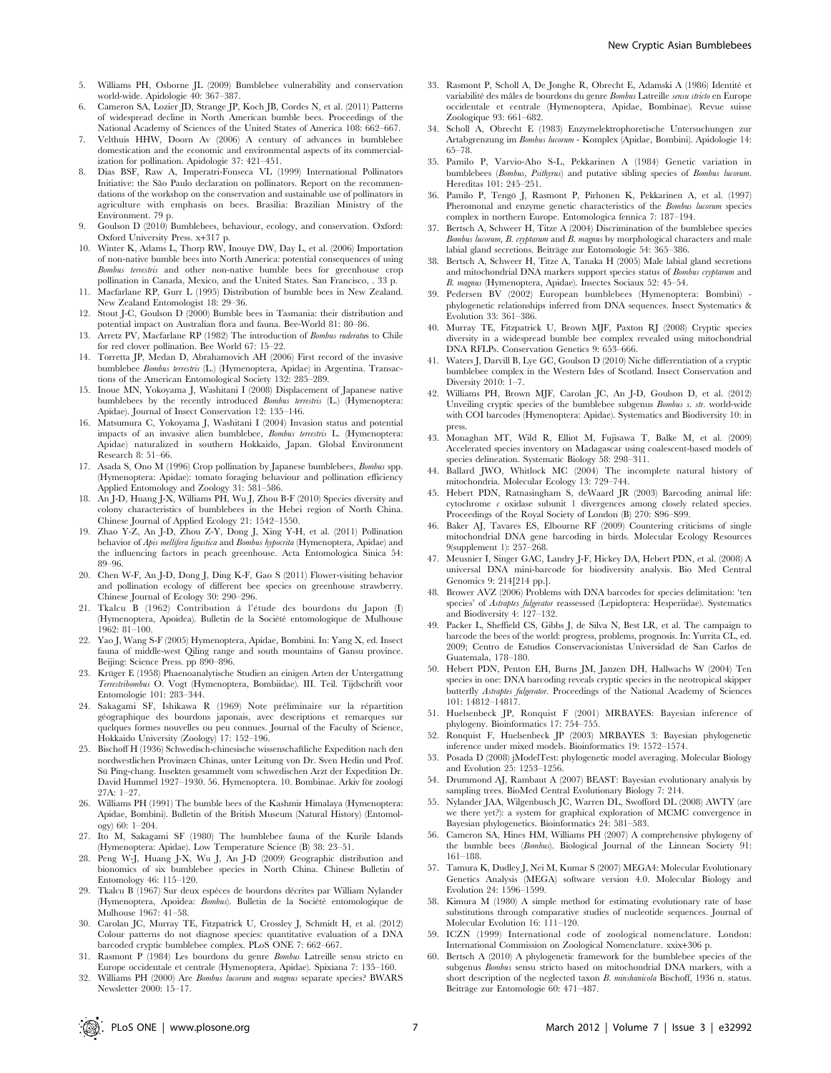- 6. Cameron SA, Lozier JD, Strange JP, Koch JB, Cordes N, et al. (2011) Patterns of widespread decline in North American bumble bees. Proceedings of the National Academy of Sciences of the United States of America 108: 662–667.
- 7. Velthuis HHW, Doorn Av (2006) A century of advances in bumblebee domestication and the economic and environmental aspects of its commercialization for pollination. Apidologie 37: 421–451.
- 8. Dias BSF, Raw A, Imperatri-Fonseca VL (1999) International Pollinators Initiative: the São Paulo declaration on pollinators. Report on the recommendations of the workshop on the conservation and sustainable use of pollinators in agriculture with emphasis on bees. Brasília: Brazilian Ministry of the Environment. 79 p.
- 9. Goulson D (2010) Bumblebees, behaviour, ecology, and conservation. Oxford: Oxford University Press. x+317 p.
- 10. Winter K, Adams L, Thorp RW, Inouye DW, Day L, et al. (2006) Importation of non-native bumble bees into North America: potential consequences of using Bombus terrestris and other non-native bumble bees for greenhouse crop pollination in Canada, Mexico, and the United States. San Francisco, . 33 p.
- 11. Macfarlane RP, Gurr L (1995) Distribution of bumble bees in New Zealand. New Zealand Entomologist 18: 29–36.
- 12. Stout J-C, Goulson D (2000) Bumble bees in Tasmania: their distribution and potential impact on Australian flora and fauna. Bee-World 81: 80–86.
- 13. Arretz PV, Macfarlane RP (1982) The introduction of Bombus ruderatus to Chile for red clover pollination. Bee World 67: 15–22.
- 14. Torretta JP, Medan D, Abrahamovich AH (2006) First record of the invasive bumblebee Bombus terrestris (L.) (Hymenoptera, Apidae) in Argentina. Transactions of the American Entomological Society 132: 285–289.
- 15. Inoue MN, Yokoyama J, Washitani I (2008) Displacement of Japanese native bumblebees by the recently introduced Bombus terrestris (L.) (Hymenoptera: Apidae). Journal of Insect Conservation 12: 135–146.
- 16. Matsumura C, Yokoyama J, Washitani I (2004) Invasion status and potential impacts of an invasive alien bumblebee, Bombus terrestris L. (Hymenoptera: Apidae) naturalized in southern Hokkaido, Japan. Global Environment Research 8: 51–66.
- 17. Asada S, Ono M (1996) Crop pollination by Japanese bumblebees, Bombus spp. (Hymenoptera: Apidae): tomato foraging behaviour and pollination efficiency Applied Entomology and Zoology 31: 581–586.
- 18. An J-D, Huang J-X, Williams PH, Wu J, Zhou B-F (2010) Species diversity and colony characteristics of bumblebees in the Hebei region of North China. Chinese Journal of Applied Ecology 21: 1542–1550.
- 19. Zhao Y-Z, An J-D, Zhou Z-Y, Dong J, Xing Y-H, et al. (2011) Pollination behavior of Apis mellifera ligustica and Bombus hypocrita (Hymenoptera, Apidae) and the influencing factors in peach greenhouse. Acta Entomologica Sinica 54: 89–96.
- 20. Chen W-F, An J-D, Dong J, Ding K-F, Gao S (2011) Flower-visiting behavior and pollination ecology of different bee species on greenhouse strawberry. Chinese Journal of Ecology 30: 290–296.
- 21. Tkalcu B (1962) Contribution a` l'e´tude des bourdons du Japon (I) (Hymenoptera, Apoidea). Bulletin de la Société entomologique de Mulhouse 1962: 81–100.
- 22. Yao J, Wang S-F (2005) Hymenoptera, Apidae, Bombini. In: Yang X, ed. Insect fauna of middle-west Qiling range and south mountains of Gansu province. Beijing: Science Press. pp 890-896.
- 23. Krüger E (1958) Phaenoanalytische Studien an einigen Arten der Untergattung Terrestribombus O. Vogt (Hymenoptera, Bombiidae). III. Teil. Tijdschrift voor Entomologie 101: 283–344.
- 24. Sakagami SF, Ishikawa R (1969) Note preliminaire sur la répartition géographique des bourdons japonais, avec descriptions et remarques sur quelques formes nouvelles ou peu connues. Journal of the Faculty of Science, Hokkaido University (Zoology) 17: 152–196.
- 25. Bischoff H (1936) Schwedisch-chinesische wissenschaftliche Expedition nach den nordwestlichen Provinzen Chinas, unter Leitung von Dr. Sven Hedin und Prof. Sü Ping-chang. Insekten gesammelt vom schwedischen Arzt der Expedition Dr. David Hummel 1927–1930. 56. Hymenoptera. 10. Bombinae. Arkiv för zoologi 27A: 1–27.
- 26. Williams PH (1991) The bumble bees of the Kashmir Himalaya (Hymenoptera: Apidae, Bombini). Bulletin of the British Museum (Natural History) (Entomology) 60: 1–204.
- 27. Ito M, Sakagami SF (1980) The bumblebee fauna of the Kurile Islands (Hymenoptera: Apidae). Low Temperature Science (B) 38: 23–51.
- 28. Peng W-J, Huang J-X, Wu J, An J-D (2009) Geographic distribution and bionomics of six bumblebee species in North China. Chinese Bulletin of Entomology 46: 115–120.
- 29. Tkalcu B (1967) Sur deux espèces de bourdons décrites par William Nylander (Hymenoptera, Apoidea: Bombus). Bulletin de la Société entomologique de Mulhouse 1967: 41–58.
- 30. Carolan JC, Murray TE, Fitzpatrick U, Crossley J, Schmidt H, et al. (2012) Colour patterns do not diagnose species: quantitative evaluation of a DNA barcoded cryptic bumblebee complex. PLoS ONE 7: 662–667.
- 31. Rasmont P (1984) Les bourdons du genre Bombus Latreille sensu stricto en Europe occidentale et centrale (Hymenoptera, Apidae). Spixiana 7: 135–160.
- 32. Williams PH (2000) Are Bombus lucorum and magnus separate species? BWARS Newsletter 2000: 15–17.
- 33. Rasmont P, Scholl A, De Jonghe R, Obrecht E, Adamski A (1986) Identite´ et variabilité des mâles de bourdons du genre Bombus Latreille sensu stricto en Europe occidentale et centrale (Hymenoptera, Apidae, Bombinae). Revue suisse Zoologique 93: 661–682.
- 34. Scholl A, Obrecht E (1983) Enzymelektrophoretische Untersuchungen zur Artabgrenzung im Bombus lucorum - Komplex (Apidae, Bombini). Apidologie 14: 65–78.
- 35. Pamilo P, Varvio-Aho S-L, Pekkarinen A (1984) Genetic variation in bumblebees (Bombus, Psithyrus) and putative sibling species of Bombus lucorum. Hereditas 101: 245–251.
- 36. Pamilo P, Tengo¨ J, Rasmont P, Pirhonen K, Pekkarinen A, et al. (1997) Pheromonal and enzyme genetic characteristics of the *Bombus lucorum* species complex in northern Europe. Entomologica fennica 7: 187–194.
- 37. Bertsch A, Schweer H, Titze A (2004) Discrimination of the bumblebee species Bombus lucorum, B. cryptarum and B. magnus by morphological characters and male labial gland secretions. Beiträge zur Entomologie 54: 365–386.
- 38. Bertsch A, Schweer H, Titze A, Tanaka H (2005) Male labial gland secretions and mitochondrial DNA markers support species status of Bombus cryptarum and B. magnus (Hymenoptera, Apidae). Insectes Sociaux 52: 45–54.
- 39. Pedersen BV (2002) European bumblebees (Hymenoptera: Bombini) phylogenetic relationships inferred from DNA sequences. Insect Systematics & Evolution 33: 361–386.
- 40. Murray TE, Fitzpatrick U, Brown MJF, Paxton RJ (2008) Cryptic species diversity in a widespread bumble bee complex revealed using mitochondrial DNA RFLPs. Conservation Genetics 9: 653–666.
- 41. Waters J, Darvill B, Lye GC, Goulson D (2010) Niche differentiation of a cryptic bumblebee complex in the Western Isles of Scotland. Insect Conservation and Diversity 2010: 1–7.
- 42. Williams PH, Brown MJF, Carolan JC, An J-D, Goulson D, et al. (2012) Unveiling cryptic species of the bumblebee subgenus Bombus s. str. world-wide with COI barcodes (Hymenoptera: Apidae). Systematics and Biodiversity 10: in press.
- 43. Monaghan MT, Wild R, Elliot M, Fujisawa T, Balke M, et al. (2009) Accelerated species inventory on Madagascar using coalescent-based models of species delineation. Systematic Biology 58: 298–311.
- Ballard JWO, Whitlock MC (2004) The incomplete natural history of mitochondria. Molecular Ecology 13: 729–744.
- 45. Hebert PDN, Ratnasingham S, deWaard JR (2003) Barcoding animal life: cytochrome  $\acute{e}$  oxidase subunit 1 divergences among closely related species. Proceedings of the Royal Society of London (B) 270: S96–S99.
- 46. Baker AJ, Tavares ES, Elbourne RF (2009) Countering criticisms of single mitochondrial DNA gene barcoding in birds. Molecular Ecology Resources 9(supplement 1): 257–268.
- 47. Meusnier I, Singer GAC, Landry J-F, Hickey DA, Hebert PDN, et al. (2008) A universal DNA mini-barcode for biodiversity analysis. Bio Med Central Genomics 9: 214[214 pp.].
- 48. Brower AVZ (2006) Problems with DNA barcodes for species delimitation: 'ten species' of Astraptes fulgerator reassessed (Lepidoptera: Hesperiidae). Systematics and Biodiversity 4: 127–132.
- 49. Packer L, Sheffield CS, Gibbs J, de Silva N, Best LR, et al. The campaign to barcode the bees of the world: progress, problems, prognosis. In: Yurrita CL, ed. 2009; Centro de Estudios Conservacionistas Universidad de San Carlos de Guatemala, 178–180.
- 50. Hebert PDN, Penton EH, Burns JM, Janzen DH, Hallwachs W (2004) Ten species in one: DNA barcoding reveals cryptic species in the neotropical skipper butterfly Astraptes fulgerator. Proceedings of the National Academy of Sciences 101: 14812–14817.
- 51. Huelsenbeck JP, Ronquist F (2001) MRBAYES: Bayesian inference of phylogeny. Bioinformatics 17: 754–755.
- 52. Ronquist F, Huelsenbeck JP (2003) MRBAYES 3: Bayesian phylogenetic inference under mixed models. Bioinformatics 19: 1572–1574.
- 53. Posada D (2008) jModelTest: phylogenetic model averaging. Molecular Biology and Evolution 25: 1253–1256.
- 54. Drummond AJ, Rambaut A (2007) BEAST: Bayesian evolutionary analysis by sampling trees. BioMed Central Evolutionary Biology 7: 214.
- 55. Nylander JAA, Wilgenbusch JC, Warren DL, Swofford DL (2008) AWTY (are we there yet?): a system for graphical exploration of MCMC convergence in Bayesian phylogenetics. Bioinformatics 24: 581–583.
- 56. Cameron SA, Hines HM, Williams PH (2007) A comprehensive phylogeny of the bumble bees (Bombus). Biological Journal of the Linnean Society 91: 161–188.
- 57. Tamura K, Dudley J, Nei M, Kumar S (2007) MEGA4: Molecular Evolutionary Genetics Analysis (MEGA) software version 4.0. Molecular Biology and Evolution 24: 1596–1599.
- 58. Kimura M (1980) A simple method for estimating evolutionary rate of base substitutions through comparative studies of nucleotide sequences. Journal of Molecular Evolution 16: 111–120.
- 59. ICZN (1999) International code of zoological nomenclature. London: International Commission on Zoological Nomenclature. xxix+306 p.
- 60. Bertsch A (2010) A phylogenetic framework for the bumblebee species of the subgenus Bombus sensu stricto based on mitochondrial DNA markers, with a short description of the neglected taxon B. minshanicola Bischoff, 1936 n. status. Beiträge zur Entomologie 60: 471–487.